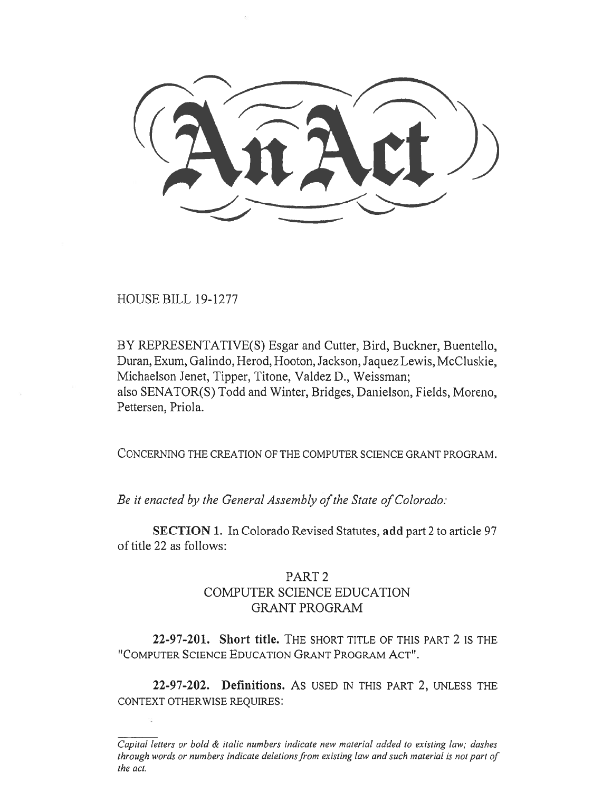HOUSE BILL 19-1277

BY REPRESENTATIVE(S) Esgar and Cutter, Bird, Buckner, Buentello, Duran, Exum, Galindo, Herod, Hooton, Jackson, Jaquez Lewis, McCluskie, Michaelson Jenet, Tipper, Titone, Valdez D., Weissman; also SENATOR(S) Todd and Winter, Bridges, Danielson, Fields, Moreno, Pettersen, Priola.

CONCERNING THE CREATION OF THE COMPUTER SCIENCE GRANT PROGRAM.

*Be it enacted by the General Assembly of the State of Colorado:* 

**SECTION 1.** In Colorado Revised Statutes, **add** part 2 to article 97 of title 22 as follows:

## PART 2 COMPUTER SCIENCE EDUCATION GRANT PROGRAM

**22-97-201. Short title.** THE SHORT TITLE OF THIS PART 2 IS THE "COMPUTER SCIENCE EDUCATION GRANT PROGRAM ACT".

**22-97-202. Definitions. AS** USED IN THIS PART 2, UNLESS THE CONTEXT OTHERWISE REQUIRES:

*Capital letters or bold & italic numbers indicate new material added to existing law; dashes through words or numbers indicate deletions from existing law and such material is not part of the act.*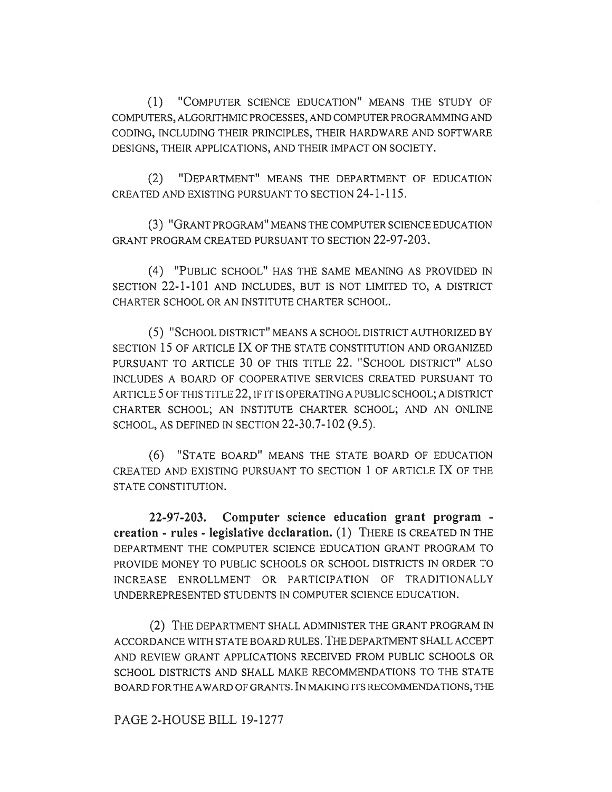(1) "COMPUTER SCIENCE EDUCATION" MEANS THE STUDY OF COMPUTERS, ALGORITHMIC PROCESSES, AND COMPUTER PROGRAMMING AND CODING, INCLUDING THEIR PRINCIPLES, THEIR HARDWARE AND SOFTWARE DESIGNS, THEIR APPLICATIONS, AND THEIR IMPACT ON SOCIETY.

(2) "DEPARTMENT" MEANS THE DEPARTMENT OF EDUCATION CREATED AND EXISTING PURSUANT TO SECTION 24-1-115.

(3) "GRANT PROGRAM" MEANS THE COMPUTER SCIENCE EDUCATION GRANT PROGRAM CREATED PURSUANT TO SECTION 22-97-203.

(4) "PUBLIC SCHOOL" HAS THE SAME MEANING AS PROVIDED IN SECTION 22-1-101 AND INCLUDES, BUT IS NOT LIMITED TO, A DISTRICT CHARTER SCHOOL OR AN INSTITUTE CHARTER SCHOOL.

(5) "SCHOOL DISTRICT" MEANS A SCHOOL DISTRICT AUTHORIZED BY SECTION 15 OF ARTICLE IX OF THE STATE CONSTITUTION AND ORGANIZED PURSUANT TO ARTICLE 30 OF THIS TITLE 22. "SCHOOL DISTRICT" ALSO INCLUDES A BOARD OF COOPERATIVE SERVICES CREATED PURSUANT TO ARTICLE 5 OF THIS TITLE 22, IF IT IS OPERATING A PUBLIC SCHOOL; A DISTRICT CHARTER SCHOOL; AN INSTITUTE CHARTER SCHOOL; AND AN ONLINE SCHOOL, AS DEFINED IN SECTION 22-30.7-102 (9.5).

(6) "STATE BOARD" MEANS THE STATE BOARD OF EDUCATION CREATED AND EXISTING PURSUANT TO SECTION 1 OF ARTICLE IX OF THE STATE CONSTITUTION.

**22-97-203. Computer science education grant program creation - rules - legislative declaration.** (1) THERE IS CREATED IN THE DEPARTMENT THE COMPUTER SCIENCE EDUCATION GRANT PROGRAM TO PROVIDE MONEY TO PUBLIC SCHOOLS OR SCHOOL DISTRICTS IN ORDER TO INCREASE ENROLLMENT OR PARTICIPATION OF TRADITIONALLY UNDERREPRESENTED STUDENTS IN COMPUTER SCIENCE EDUCATION.

(2) THE DEPARTMENT SHALL ADMINISTER THE GRANT PROGRAM IN ACCORDANCE WITH STATE BOARD RULES. THE DEPARTMENT SHALL ACCEPT AND REVIEW GRANT APPLICATIONS RECEIVED FROM PUBLIC SCHOOLS OR SCHOOL DISTRICTS AND SHALL MAKE RECOMMENDATIONS TO THE STATE BOARD FOR THE AWARD OF GRANTS. IN MAKING ITS RECOMMENDATIONS, THE

PAGE 2-HOUSE BILL 19-1277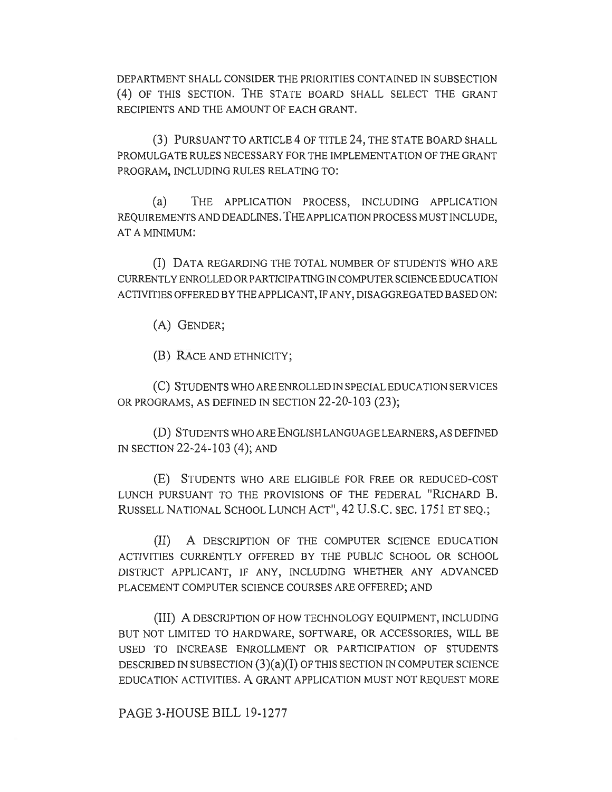DEPARTMENT SHALL CONSIDER THE PRIORITIES CONTAINED IN SUBSECTION (4) OF THIS SECTION. THE STATE BOARD SHALL SELECT THE GRANT RECIPIENTS AND THE AMOUNT OF EACH GRANT.

(3) PURSUANT TO ARTICLE 4 OF TITLE 24, THE STATE BOARD SHALL PROMULGATE RULES NECESSARY FOR THE IMPLEMENTATION OF THE GRANT PROGRAM, INCLUDING RULES RELATING TO:

(a) THE APPLICATION PROCESS, INCLUDING APPLICATION REQUIREMENTS AND DEADLINES. THE APPLICATION PROCESS MUST INCLUDE, AT A MINIMUM:

(I) DATA REGARDING THE TOTAL NUMBER OF STUDENTS WHO ARE CURRENTLY ENROLLED OR PARTICIPATING IN COMPUTER SCIENCE EDUCATION ACTIVITIES OFFERED BY THE APPLICANT, IF ANY, DISAGGREGATED BASED ON:

(A) GENDER;

(B) RACE AND ETHNICITY;

(C) STUDENTS WHO ARE ENROLLED IN SPECIAL EDUCATION SERVICES OR PROGRAMS, AS DEFINED IN SECTION 22-20-103 (23);

(D) STUDENTS WHO ARE ENGLISH LANGUAGE LEARNERS, AS DEFINED IN SECTION 22-24-103 (4); AND

(E) STUDENTS WHO ARE ELIGIBLE FOR FREE OR REDUCED-COST LUNCH PURSUANT TO THE PROVISIONS OF THE FEDERAL "RICHARD B. RUSSELL NATIONAL SCHOOL LUNCH ACT", 42 U.S.C. SEC. 1751 ET SEQ.;

(II) A DESCRIPTION OF THE COMPUTER SCIENCE EDUCATION ACTIVITIES CURRENTLY OFFERED BY THE PUBLIC SCHOOL OR SCHOOL DISTRICT APPLICANT, IF ANY, INCLUDING WHETHER ANY ADVANCED PLACEMENT COMPUTER SCIENCE COURSES ARE OFFERED; AND

(III) A DESCRIPTION OF HOW TECHNOLOGY EQUIPMENT, INCLUDING BUT NOT LIMITED TO HARDWARE, SOFTWARE, OR ACCESSORIES, WILL BE USED TO INCREASE ENROLLMENT OR PARTICIPATION OF STUDENTS DESCRIBED IN SUBSECTION  $(3)(a)(I)$  OF THIS SECTION IN COMPUTER SCIENCE EDUCATION ACTIVITIES. A GRANT APPLICATION MUST NOT REQUEST MORE

PAGE 3-HOUSE BILL 19-1277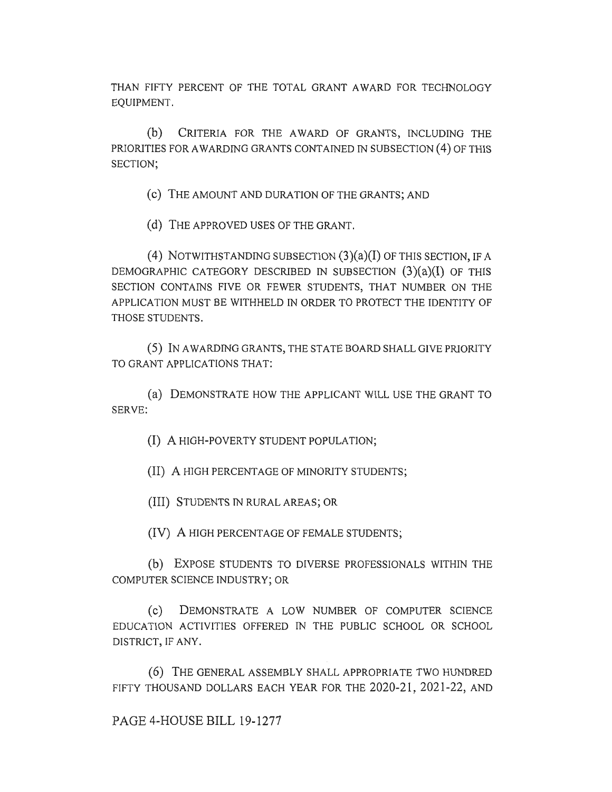THAN FIFTY PERCENT OF THE TOTAL GRANT AWARD FOR TECHNOLOGY EQUIPMENT.

(b) CRITERIA FOR THE AWARD OF GRANTS, INCLUDING THE PRIORITIES FOR AWARDING GRANTS CONTAINED IN SUBSECTION (4) OF THIS SECTION;

(c) THE AMOUNT AND DURATION OF THE GRANTS; AND

(d) THE APPROVED USES OF THE GRANT.

(4) NOTWITHSTANDING SUBSECTION  $(3)(a)(I)$  OF THIS SECTION, IF A DEMOGRAPHIC CATEGORY DESCRIBED IN SUBSECTION  $(3)(a)(I)$  OF THIS SECTION CONTAINS FIVE OR FEWER STUDENTS, THAT NUMBER ON THE APPLICATION MUST BE WITHHELD IN ORDER TO PROTECT THE IDENTITY OF THOSE STUDENTS.

(5) IN AWARDING GRANTS, THE STATE BOARD SHALL GIVE PRIORITY TO GRANT APPLICATIONS THAT:

(a) DEMONSTRATE HOW THE APPLICANT WILL USE THE GRANT TO SERVE:

(I) A HIGH-POVERTY STUDENT POPULATION;

(II) A HIGH PERCENTAGE OF MINORITY STUDENTS;

(III) STUDENTS IN RURAL AREAS; OR

(IV) A HIGH PERCENTAGE OF FEMALE STUDENTS;

(b) EXPOSE STUDENTS TO DIVERSE PROFESSIONALS WITHIN THE COMPUTER SCIENCE INDUSTRY; OR

(c) DEMONSTRATE A LOW NUMBER OF COMPUTER SCIENCE EDUCATION ACTIVITIES OFFERED IN THE PUBLIC SCHOOL OR SCHOOL DISTRICT, IF ANY.

(6) THE GENERAL ASSEMBLY SHALL APPROPRIATE TWO HUNDRED FIFTY THOUSAND DOLLARS EACH YEAR FOR THE 2020-21, 2021-22, AND

PAGE 4-HOUSE BILL 19-1277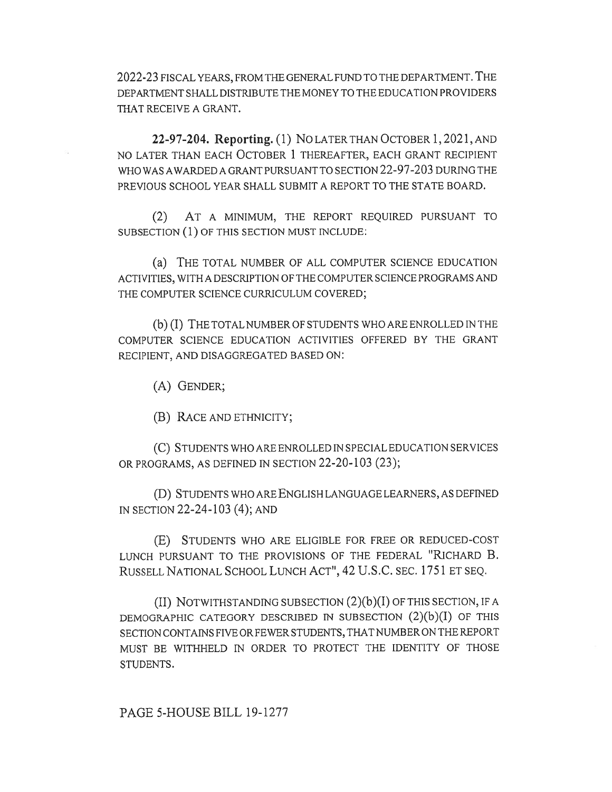2022-23 FISCAL YEARS, FROM THE GENERAL FUND TO THE DEPARTMENT. THE DEPARTMENT SHALL DISTRIBUTE THE MONEY TO THE EDUCATION PROVIDERS THAT RECEIVE A GRANT.

**22-97-204. Reporting.** (1) No LATER THAN OCTOBER 1, 2021, AND NO LATER THAN EACH OCTOBER 1 THEREAFTER, EACH GRANT RECIPIENT WHO WAS AWARDED A GRANT PURSUANT TO SECTION 22-97-203 DURING THE PREVIOUS SCHOOL YEAR SHALL SUBMIT A REPORT TO THE STATE BOARD.

(2) AT A MINIMUM, THE REPORT REQUIRED PURSUANT TO SUBSECTION (1) OF THIS SECTION MUST INCLUDE:

(a) THE TOTAL NUMBER OF ALL COMPUTER SCIENCE EDUCATION ACTIVITIES, WITH A DESCRIPTION OF THE COMPUTER SCIENCE PROGRAMS AND THE COMPUTER SCIENCE CURRICULUM COVERED;

(b) (I) THE TOTAL NUMBER OF STUDENTS WHO ARE ENROLLED IN THE COMPUTER SCIENCE EDUCATION ACTIVITIES OFFERED BY THE GRANT RECIPIENT, AND DISAGGREGATED BASED ON:

(A) GENDER;

(B) RACE AND ETHNICITY;

(C) STUDENTS WHO ARE ENROLLED IN SPECIAL EDUCATION SERVICES OR PROGRAMS, AS DEFINED IN SECTION 22-20-103 (23);

(D) STUDENTS WHO ARE ENGLISH LANGUAGE LEARNERS, AS DEFINED IN SECTION 22-24-103 (4); AND

(E) STUDENTS WHO ARE ELIGIBLE FOR FREE OR REDUCED-COST LUNCH PURSUANT TO THE PROVISIONS OF THE FEDERAL "RICHARD **B.**  RUSSELL NATIONAL SCHOOL LUNCH ACT", 42 U.S.C. SEC. 1751 ET SEQ.

(II) NOTWITHSTANDING SUBSECTION (2)(b)(I) OF THIS SECTION, IF A DEMOGRAPHIC CATEGORY DESCRIBED IN SUBSECTION (2)(b)(I) OF THIS SECTION CONTAINS FIVE OR FEWER STUDENTS, THAT NUMBER ON THE REPORT MUST BE WITHHELD IN ORDER TO PROTECT THE IDENTITY OF THOSE STUDENTS.

PAGE 5-HOUSE BILL 19-1277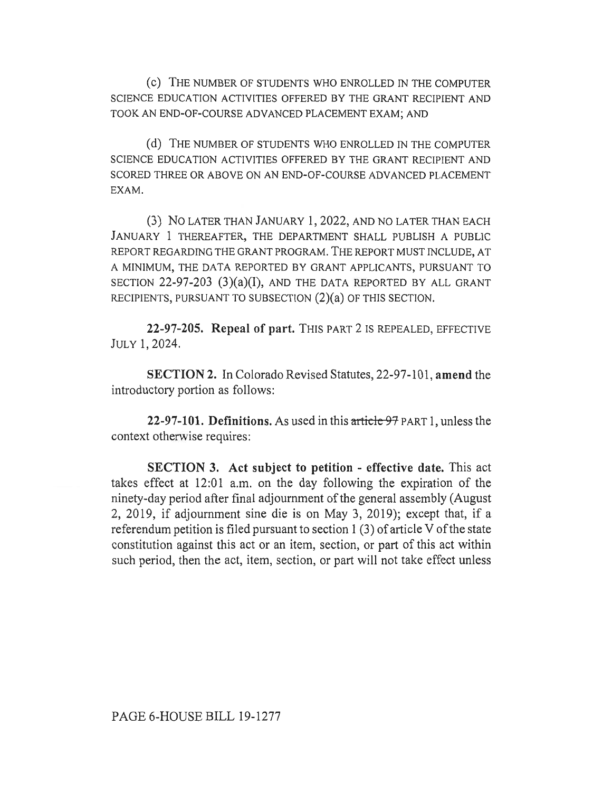(c) THE NUMBER OF STUDENTS WHO ENROLLED IN THE COMPUTER SCIENCE EDUCATION ACTIVITIES OFFERED BY THE GRANT RECIPIENT AND TOOK AN END-OF-COURSE ADVANCED PLACEMENT EXAM; AND

(d) THE NUMBER OF STUDENTS WHO ENROLLED IN THE COMPUTER SCIENCE EDUCATION ACTIVITIES OFFERED BY THE GRANT RECIPIENT AND SCORED THREE OR ABOVE ON AN END-OF-COURSE ADVANCED PLACEMENT EXAM.

(3) No LATER THAN JANUARY 1, 2022, AND NO LATER THAN EACH JANUARY 1 THEREAFTER, THE DEPARTMENT SHALL PUBLISH A PUBLIC REPORT REGARDING THE GRANT PROGRAM. THE REPORT MUST INCLUDE, AT A MINIMUM, THE DATA REPORTED BY GRANT APPLICANTS, PURSUANT TO SECTION 22-97-203 (3)(a)(I), AND THE DATA REPORTED BY ALL GRANT RECIPIENTS, PURSUANT TO SUBSECTION (2)(a) OF THIS SECTION.

**22-97-205. Repeal of part.** THIS PART 2 IS REPEALED, EFFECTIVE JULY 1, 2024.

**SECTION 2. In** Colorado Revised Statutes, 22-97-101, **amend** the introductory portion as follows:

**22-97-101. Definitions.** As used in this article 97 PART 1, unless the context otherwise requires:

**SECTION 3. Act subject to petition - effective date.** This act takes effect at 12:01 a.m. on the day following the expiration of the ninety-day period after final adjournment of the general assembly (August 2, 2019, if adjournment sine die is on May 3, 2019); except that, if a referendum petition is filed pursuant to section 1 (3) of article V of the state constitution against this act or an item, section, or part of this act within such period, then the act, item, section, or part will not take effect unless